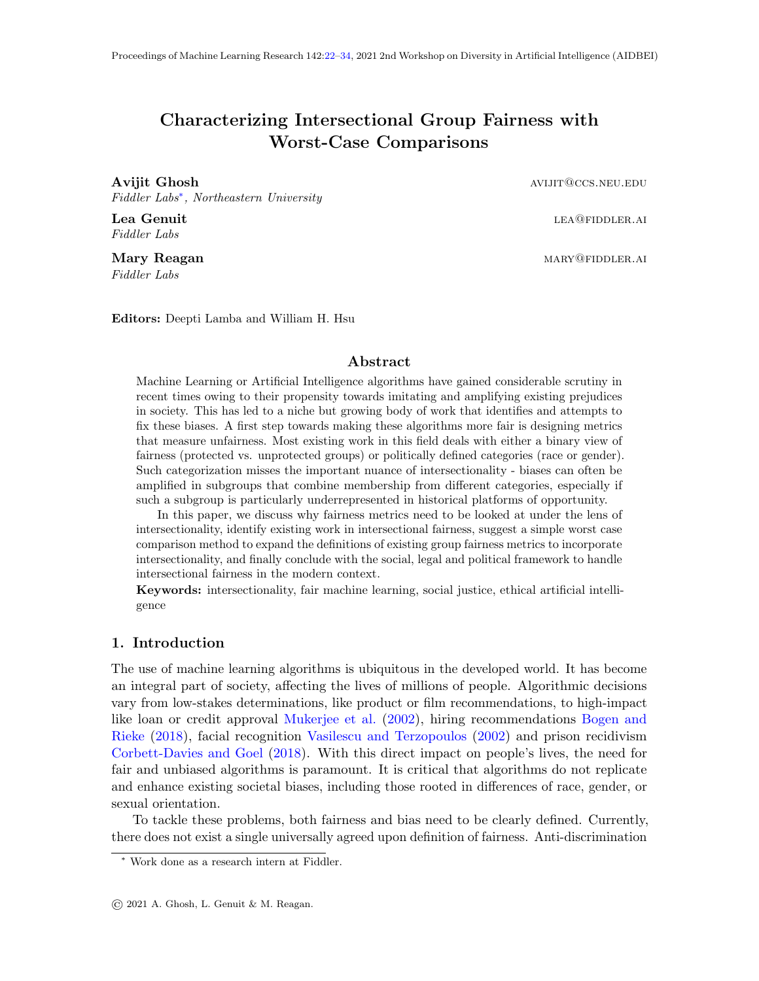# <span id="page-0-0"></span>Characterizing Intersectional Group Fairness with Worst-Case Comparisons

**Avijit Ghosh avidence and aviding the set of the set of the set of the set of the set of the set of the set of the set of the set of the set of the set of the set of the set of the set of the set of the set of the set of** Fiddler Labs<sup>∗</sup> , Northeastern University

Lea Genuit leaft and the set of the set of the set of the set of the set of the set of the set of the set of the set of the set of the set of the set of the set of the set of the set of the set of the set of the set of the

Fiddler Labs

Mary Reagan mary of the contract of the matter of the matter of the matter of the matter of the matter of the matter of the matter of the matter of the matter of the matter of the matter of the matter of the matter of the Fiddler Labs

Editors: Deepti Lamba and William H. Hsu

## Abstract

Machine Learning or Artificial Intelligence algorithms have gained considerable scrutiny in recent times owing to their propensity towards imitating and amplifying existing prejudices in society. This has led to a niche but growing body of work that identifies and attempts to fix these biases. A first step towards making these algorithms more fair is designing metrics that measure unfairness. Most existing work in this field deals with either a binary view of fairness (protected vs. unprotected groups) or politically defined categories (race or gender). Such categorization misses the important nuance of intersectionality - biases can often be amplified in subgroups that combine membership from different categories, especially if such a subgroup is particularly underrepresented in historical platforms of opportunity.

In this paper, we discuss why fairness metrics need to be looked at under the lens of intersectionality, identify existing work in intersectional fairness, suggest a simple worst case comparison method to expand the definitions of existing group fairness metrics to incorporate intersectionality, and finally conclude with the social, legal and political framework to handle intersectional fairness in the modern context.

Keywords: intersectionality, fair machine learning, social justice, ethical artificial intelligence

## 1. Introduction

The use of machine learning algorithms is ubiquitous in the developed world. It has become an integral part of society, affecting the lives of millions of people. Algorithmic decisions vary from low-stakes determinations, like product or film recommendations, to high-impact like loan or credit approval [Mukerjee et al.](#page-11-0) [\(2002\)](#page-11-0), hiring recommendations [Bogen and](#page-10-0) [Rieke](#page-10-0) [\(2018\)](#page-10-0), facial recognition [Vasilescu and Terzopoulos](#page-12-1) [\(2002\)](#page-12-1) and prison recidivism [Corbett-Davies and Goel](#page-10-1) [\(2018\)](#page-10-1). With this direct impact on people's lives, the need for fair and unbiased algorithms is paramount. It is critical that algorithms do not replicate and enhance existing societal biases, including those rooted in differences of race, gender, or sexual orientation.

To tackle these problems, both fairness and bias need to be clearly defined. Currently, there does not exist a single universally agreed upon definition of fairness. Anti-discrimination

<sup>∗</sup> Work done as a research intern at Fiddler.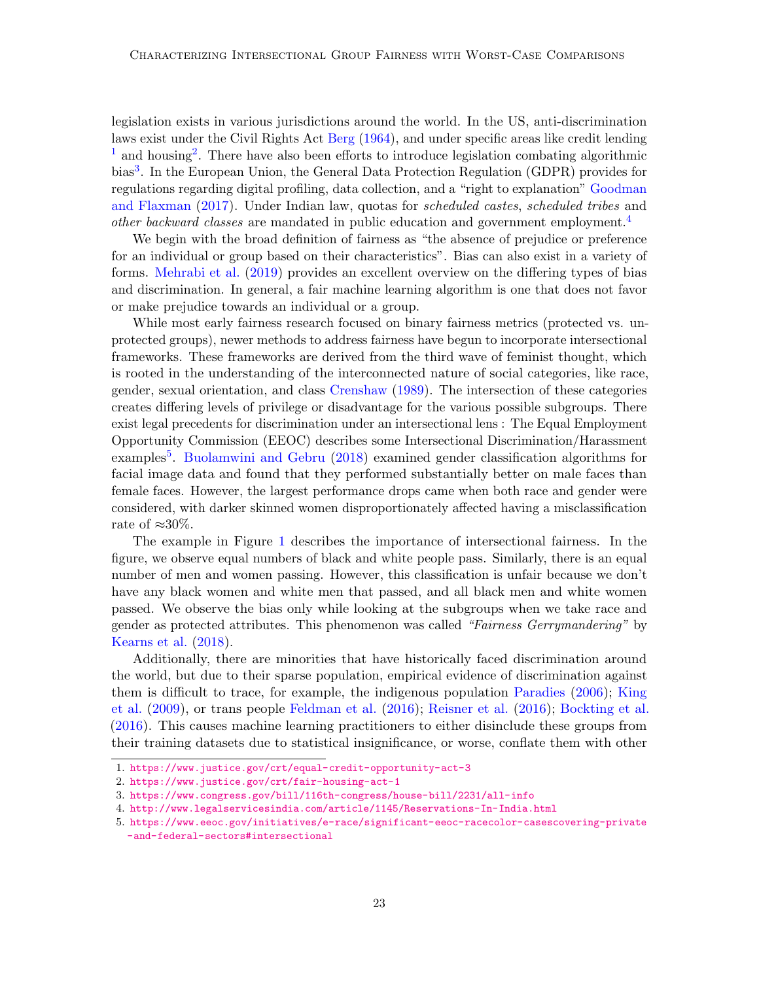legislation exists in various jurisdictions around the world. In the US, anti-discrimination laws exist under the Civil Rights Act [Berg](#page-10-2) [\(1964\)](#page-10-2), and under specific areas like credit lending  $<sup>1</sup>$  $<sup>1</sup>$  $<sup>1</sup>$  and housing<sup>[2](#page-1-1)</sup>. There have also been efforts to introduce legislation combating algorithmic</sup> bias<sup>[3](#page-1-2)</sup>. In the European Union, the General Data Protection Regulation (GDPR) provides for regulations regarding digital profiling, data collection, and a "right to explanation" [Goodman](#page-11-1) [and Flaxman](#page-11-1) [\(2017\)](#page-11-1). Under Indian law, quotas for scheduled castes, scheduled tribes and other backward classes are mandated in public education and government employment.<sup>[4](#page-1-3)</sup>

We begin with the broad definition of fairness as "the absence of prejudice or preference for an individual or group based on their characteristics". Bias can also exist in a variety of forms. [Mehrabi et al.](#page-11-2) [\(2019\)](#page-11-2) provides an excellent overview on the differing types of bias and discrimination. In general, a fair machine learning algorithm is one that does not favor or make prejudice towards an individual or a group.

While most early fairness research focused on binary fairness metrics (protected vs. unprotected groups), newer methods to address fairness have begun to incorporate intersectional frameworks. These frameworks are derived from the third wave of feminist thought, which is rooted in the understanding of the interconnected nature of social categories, like race, gender, sexual orientation, and class [Crenshaw](#page-10-3) [\(1989\)](#page-10-3). The intersection of these categories creates differing levels of privilege or disadvantage for the various possible subgroups. There exist legal precedents for discrimination under an intersectional lens : The Equal Employment Opportunity Commission (EEOC) describes some Intersectional Discrimination/Harassment examples<sup>[5](#page-1-4)</sup>. [Buolamwini and Gebru](#page-10-4) [\(2018\)](#page-10-4) examined gender classification algorithms for facial image data and found that they performed substantially better on male faces than female faces. However, the largest performance drops came when both race and gender were considered, with darker skinned women disproportionately affected having a misclassification rate of  $\approx 30\%$ .

The example in Figure [1](#page-2-0) describes the importance of intersectional fairness. In the figure, we observe equal numbers of black and white people pass. Similarly, there is an equal number of men and women passing. However, this classification is unfair because we don't have any black women and white men that passed, and all black men and white women passed. We observe the bias only while looking at the subgroups when we take race and gender as protected attributes. This phenomenon was called "Fairness Gerrymandering" by [Kearns et al.](#page-11-3) [\(2018\)](#page-11-3).

Additionally, there are minorities that have historically faced discrimination around the world, but due to their sparse population, empirical evidence of discrimination against them is difficult to trace, for example, the indigenous population [Paradies](#page-12-2) [\(2006\)](#page-12-2); [King](#page-11-4) [et al.](#page-11-4) [\(2009\)](#page-11-4), or trans people [Feldman et al.](#page-10-5) [\(2016\)](#page-10-5); [Reisner et al.](#page-12-3) [\(2016\)](#page-12-3); [Bockting et al.](#page-10-6) [\(2016\)](#page-10-6). This causes machine learning practitioners to either disinclude these groups from their training datasets due to statistical insignificance, or worse, conflate them with other

<span id="page-1-0"></span><sup>1.</sup> <https://www.justice.gov/crt/equal-credit-opportunity-act-3>

<span id="page-1-1"></span><sup>2.</sup> <https://www.justice.gov/crt/fair-housing-act-1>

<span id="page-1-2"></span><sup>3.</sup> <https://www.congress.gov/bill/116th-congress/house-bill/2231/all-info>

<span id="page-1-3"></span><sup>4.</sup> <http://www.legalservicesindia.com/article/1145/Reservations-In-India.html>

<span id="page-1-4"></span><sup>5.</sup> [https://www.eeoc.gov/initiatives/e-race/significant-eeoc-racecolor-casescovering-private](https://www.eeoc.gov/initiatives/e-race/significant-eeoc-racecolor-casescovering-private-and-federal-sectors#intersectional) <->[and-federal-sectors#intersectional](https://www.eeoc.gov/initiatives/e-race/significant-eeoc-racecolor-casescovering-private-and-federal-sectors#intersectional)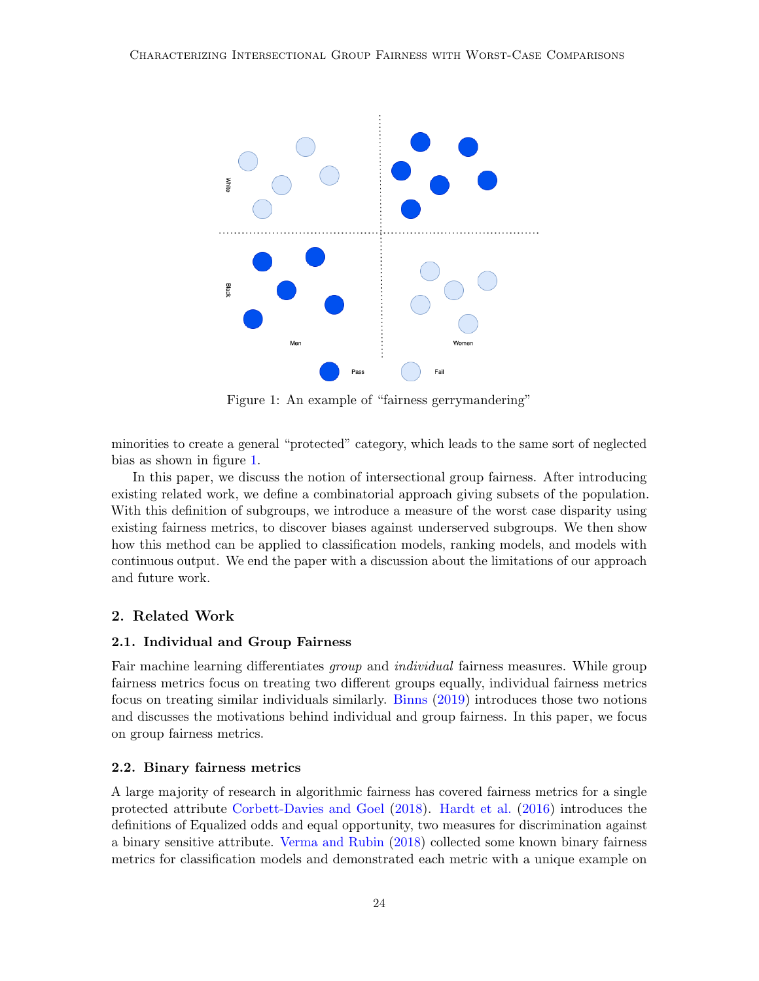<span id="page-2-0"></span>

Figure 1: An example of "fairness gerrymandering"

minorities to create a general "protected" category, which leads to the same sort of neglected bias as shown in figure [1.](#page-2-0)

In this paper, we discuss the notion of intersectional group fairness. After introducing existing related work, we define a combinatorial approach giving subsets of the population. With this definition of subgroups, we introduce a measure of the worst case disparity using existing fairness metrics, to discover biases against underserved subgroups. We then show how this method can be applied to classification models, ranking models, and models with continuous output. We end the paper with a discussion about the limitations of our approach and future work.

# 2. Related Work

# 2.1. Individual and Group Fairness

Fair machine learning differentiates *group* and *individual* fairness measures. While group fairness metrics focus on treating two different groups equally, individual fairness metrics focus on treating similar individuals similarly. [Binns](#page-10-7) [\(2019\)](#page-10-7) introduces those two notions and discusses the motivations behind individual and group fairness. In this paper, we focus on group fairness metrics.

## 2.2. Binary fairness metrics

A large majority of research in algorithmic fairness has covered fairness metrics for a single protected attribute [Corbett-Davies and Goel](#page-10-1) [\(2018\)](#page-10-1). [Hardt et al.](#page-11-5) [\(2016\)](#page-11-5) introduces the definitions of Equalized odds and equal opportunity, two measures for discrimination against a binary sensitive attribute. [Verma and Rubin](#page-12-4) [\(2018\)](#page-12-4) collected some known binary fairness metrics for classification models and demonstrated each metric with a unique example on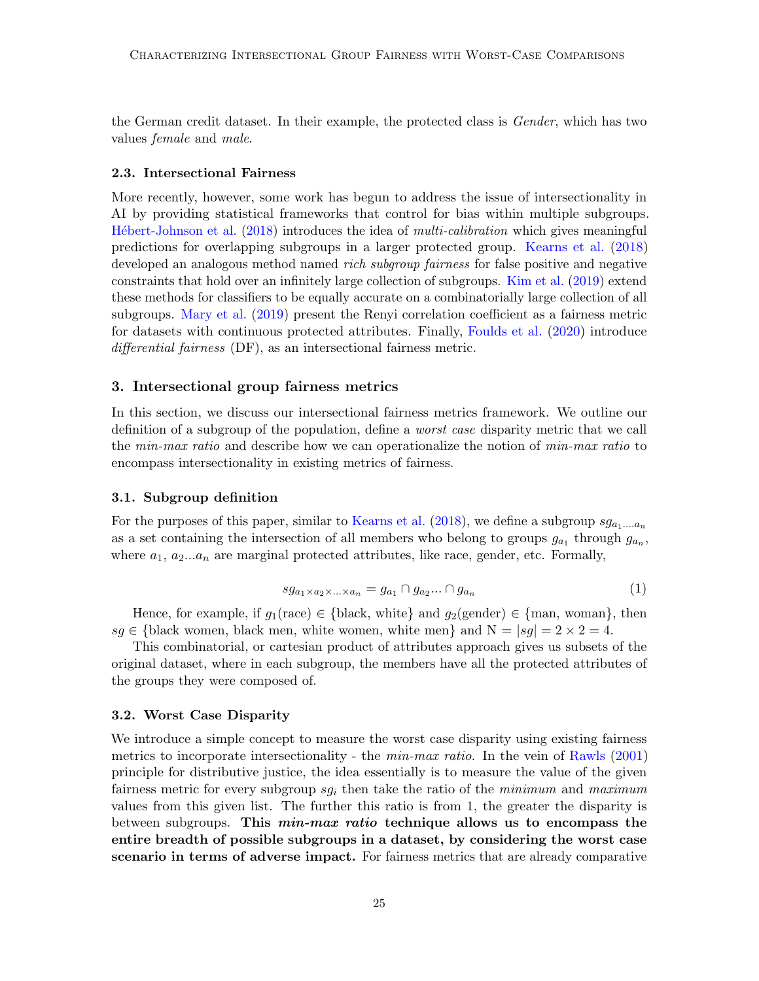the German credit dataset. In their example, the protected class is Gender, which has two values female and male.

#### 2.3. Intersectional Fairness

More recently, however, some work has begun to address the issue of intersectionality in AI by providing statistical frameworks that control for bias within multiple subgroups. Hébert-Johnson et al. [\(2018\)](#page-11-6) introduces the idea of multi-calibration which gives meaningful predictions for overlapping subgroups in a larger protected group. [Kearns et al.](#page-11-3) [\(2018\)](#page-11-3) developed an analogous method named *rich subgroup fairness* for false positive and negative constraints that hold over an infinitely large collection of subgroups. [Kim et al.](#page-11-7) [\(2019\)](#page-11-7) extend these methods for classifiers to be equally accurate on a combinatorially large collection of all subgroups. [Mary et al.](#page-11-8) [\(2019\)](#page-11-8) present the Renyi correlation coefficient as a fairness metric for datasets with continuous protected attributes. Finally, [Foulds et al.](#page-11-9) [\(2020\)](#page-11-9) introduce differential fairness (DF), as an intersectional fairness metric.

## 3. Intersectional group fairness metrics

In this section, we discuss our intersectional fairness metrics framework. We outline our definition of a subgroup of the population, define a worst case disparity metric that we call the *min-max ratio* and describe how we can operationalize the notion of *min-max ratio* to encompass intersectionality in existing metrics of fairness.

## 3.1. Subgroup definition

For the purposes of this paper, similar to [Kearns et al.](#page-11-3) [\(2018\)](#page-11-3), we define a subgroup  $sg_{a_1,...a_n}$ as a set containing the intersection of all members who belong to groups  $g_{a_1}$  through  $g_{a_n}$ , where  $a_1, a_2...a_n$  are marginal protected attributes, like race, gender, etc. Formally,

$$
sg_{a_1 \times a_2 \times \ldots \times a_n} = g_{a_1} \cap g_{a_2} \ldots \cap g_{a_n} \tag{1}
$$

Hence, for example, if  $g_1(\text{race}) \in \{\text{black}, \text{white}\}\$  and  $g_2(\text{gender}) \in \{\text{man}, \text{woman}\}\$ , then  $sg \in \{\text{black women}, \text{black men}, \text{white women}, \text{white men}\}$  and  $N = |sg| = 2 \times 2 = 4$ .

This combinatorial, or cartesian product of attributes approach gives us subsets of the original dataset, where in each subgroup, the members have all the protected attributes of the groups they were composed of.

#### 3.2. Worst Case Disparity

We introduce a simple concept to measure the worst case disparity using existing fairness metrics to incorporate intersectionality - the *min-max ratio*. In the vein of [Rawls](#page-12-5) [\(2001\)](#page-12-5) principle for distributive justice, the idea essentially is to measure the value of the given fairness metric for every subgroup  $sg_i$  then take the ratio of the *minimum* and *maximum* values from this given list. The further this ratio is from 1, the greater the disparity is between subgroups. This *min-max ratio* technique allows us to encompass the entire breadth of possible subgroups in a dataset, by considering the worst case scenario in terms of adverse impact. For fairness metrics that are already comparative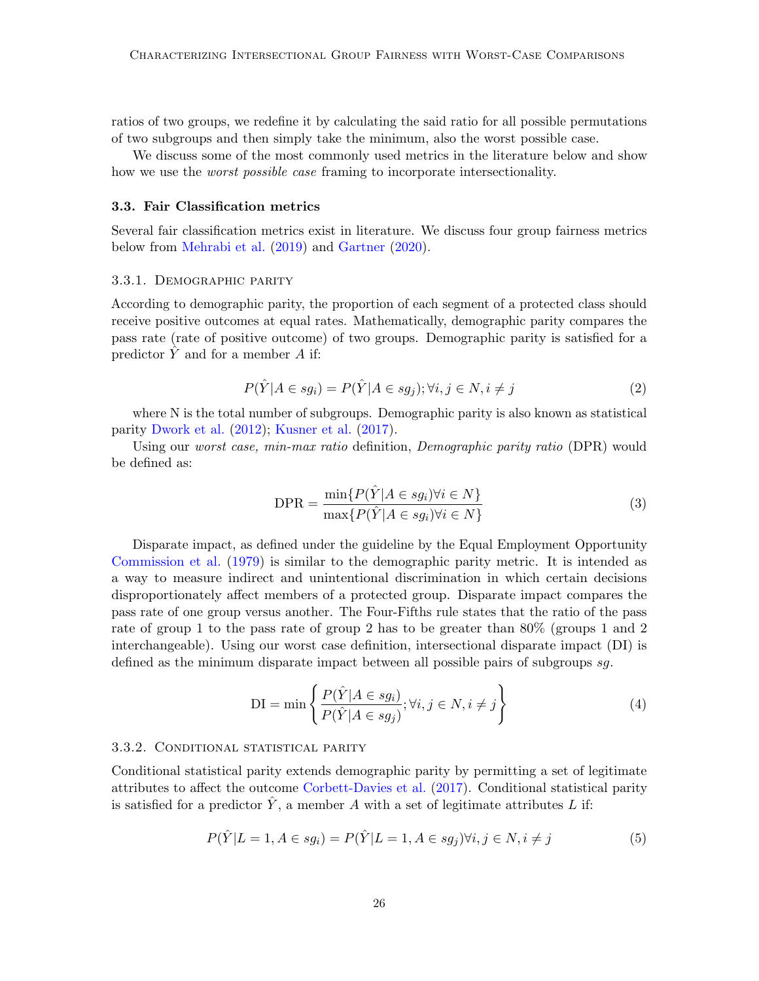ratios of two groups, we redefine it by calculating the said ratio for all possible permutations of two subgroups and then simply take the minimum, also the worst possible case.

We discuss some of the most commonly used metrics in the literature below and show how we use the *worst possible case* framing to incorporate intersectionality.

## 3.3. Fair Classification metrics

Several fair classification metrics exist in literature. We discuss four group fairness metrics below from [Mehrabi et al.](#page-11-2) [\(2019\)](#page-11-2) and [Gartner](#page-11-10) [\(2020\)](#page-11-10).

#### 3.3.1. Demographic parity

According to demographic parity, the proportion of each segment of a protected class should receive positive outcomes at equal rates. Mathematically, demographic parity compares the pass rate (rate of positive outcome) of two groups. Demographic parity is satisfied for a predictor  $\tilde{Y}$  and for a member A if:

$$
P(\hat{Y}|A \in sg_i) = P(\hat{Y}|A \in sg_j); \forall i, j \in N, i \neq j
$$
\n
$$
(2)
$$

where N is the total number of subgroups. Demographic parity is also known as statistical parity [Dwork et al.](#page-10-8) [\(2012\)](#page-10-8); [Kusner et al.](#page-11-11) [\(2017\)](#page-11-11).

Using our worst case, min-max ratio definition, Demographic parity ratio (DPR) would be defined as:

<span id="page-4-0"></span>
$$
DPR = \frac{\min\{P(\hat{Y}|A \in sg_i) \forall i \in N\}}{\max\{P(\hat{Y}|A \in sg_i) \forall i \in N\}} \tag{3}
$$

Disparate impact, as defined under the guideline by the Equal Employment Opportunity [Commission et al.](#page-10-9) [\(1979\)](#page-10-9) is similar to the demographic parity metric. It is intended as a way to measure indirect and unintentional discrimination in which certain decisions disproportionately affect members of a protected group. Disparate impact compares the pass rate of one group versus another. The Four-Fifths rule states that the ratio of the pass rate of group 1 to the pass rate of group 2 has to be greater than 80% (groups 1 and 2 interchangeable). Using our worst case definition, intersectional disparate impact (DI) is defined as the minimum disparate impact between all possible pairs of subgroups sg.

$$
DI = \min \left\{ \frac{P(\hat{Y}|A \in sg_i)}{P(\hat{Y}|A \in sg_j)}; \forall i, j \in N, i \neq j \right\}
$$
(4)

#### 3.3.2. CONDITIONAL STATISTICAL PARITY

Conditional statistical parity extends demographic parity by permitting a set of legitimate attributes to affect the outcome [Corbett-Davies et al.](#page-10-10) [\(2017\)](#page-10-10). Conditional statistical parity is satisfied for a predictor  $\hat{Y}$ , a member A with a set of legitimate attributes L if:

$$
P(\hat{Y}|L=1, A \in sg_i) = P(\hat{Y}|L=1, A \in sg_j) \forall i, j \in N, i \neq j
$$
\n
$$
(5)
$$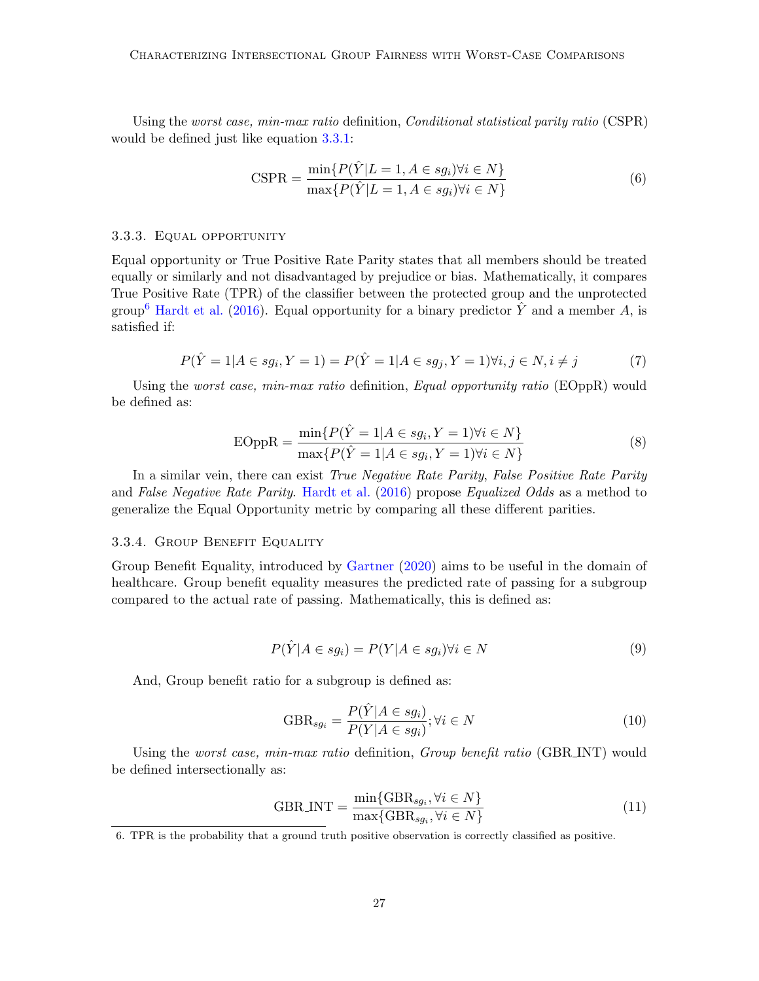Using the worst case, min-max ratio definition, *Conditional statistical parity ratio* (CSPR) would be defined just like equation [3.3.1:](#page-4-0)

$$
CSPR = \frac{\min\{P(\hat{Y}|L=1, A \in sg_i)\forall i \in N\}}{\max\{P(\hat{Y}|L=1, A \in sg_i)\forall i \in N\}}
$$
(6)

#### 3.3.3. Equal opportunity

Equal opportunity or True Positive Rate Parity states that all members should be treated equally or similarly and not disadvantaged by prejudice or bias. Mathematically, it compares True Positive Rate (TPR) of the classifier between the protected group and the unprotected group<sup>[6](#page-5-0)</sup> [Hardt et al.](#page-11-5) [\(2016\)](#page-11-5). Equal opportunity for a binary predictor Y and a member A, is satisfied if:

$$
P(\hat{Y} = 1 | A \in sg_i, Y = 1) = P(\hat{Y} = 1 | A \in sg_j, Y = 1) \forall i, j \in N, i \neq j
$$
\n(7)

Using the *worst case, min-max ratio* definition, *Equal opportunity ratio* (EOppR) would be defined as:

$$
EOppR = \frac{\min\{P(\hat{Y} = 1 | A \in sg_i, Y = 1) \forall i \in N\}}{\max\{P(\hat{Y} = 1 | A \in sg_i, Y = 1) \forall i \in N\}}
$$
(8)

In a similar vein, there can exist True Negative Rate Parity, False Positive Rate Parity and False Negative Rate Parity. [Hardt et al.](#page-11-5) [\(2016\)](#page-11-5) propose Equalized Odds as a method to generalize the Equal Opportunity metric by comparing all these different parities.

#### 3.3.4. Group Benefit Equality

Group Benefit Equality, introduced by [Gartner](#page-11-10) [\(2020\)](#page-11-10) aims to be useful in the domain of healthcare. Group benefit equality measures the predicted rate of passing for a subgroup compared to the actual rate of passing. Mathematically, this is defined as:

$$
P(\hat{Y}|A \in sg_i) = P(Y|A \in sg_i) \forall i \in N
$$
\n<sup>(9)</sup>

And, Group benefit ratio for a subgroup is defined as:

$$
GBR_{sg_i} = \frac{P(\hat{Y}|A \in sg_i)}{P(Y|A \in sg_i)}; \forall i \in N
$$
\n(10)

Using the *worst case, min-max ratio* definition, *Group benefit ratio* (GBR INT) would be defined intersectionally as:

$$
GBRINT = \frac{\min\{GBR_{sg_i}, \forall i \in N\}}{\max\{GBR_{sg_i}, \forall i \in N\}}\tag{11}
$$

<span id="page-5-0"></span><sup>6.</sup> TPR is the probability that a ground truth positive observation is correctly classified as positive.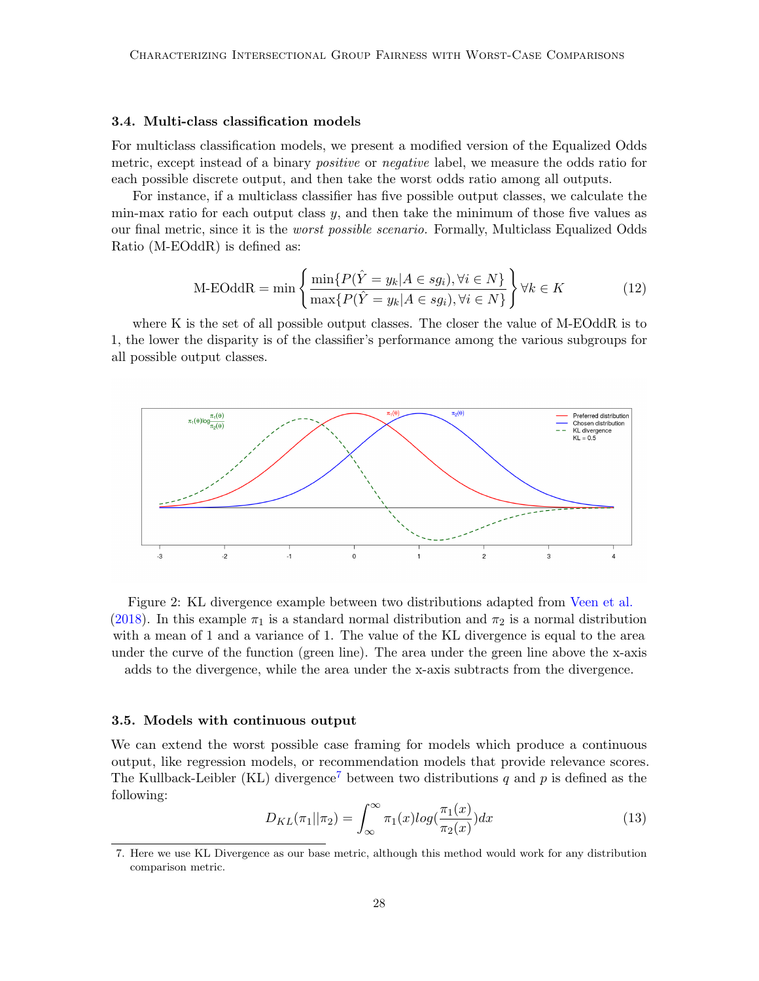## 3.4. Multi-class classification models

For multiclass classification models, we present a modified version of the Equalized Odds metric, except instead of a binary *positive* or *negative* label, we measure the odds ratio for each possible discrete output, and then take the worst odds ratio among all outputs.

For instance, if a multiclass classifier has five possible output classes, we calculate the min-max ratio for each output class  $y$ , and then take the minimum of those five values as our final metric, since it is the worst possible scenario. Formally, Multiclass Equalized Odds Ratio (M-EOddR) is defined as:

$$
\text{M-EOddR} = \min \left\{ \frac{\min\{P(\hat{Y} = y_k | A \in sg_i), \forall i \in N\}}{\max\{P(\hat{Y} = y_k | A \in sg_i), \forall i \in N\}} \right\} \forall k \in K
$$
\n(12)

where K is the set of all possible output classes. The closer the value of M-EOddR is to 1, the lower the disparity is of the classifier's performance among the various subgroups for all possible output classes.



Figure 2: KL divergence example between two distributions adapted from [Veen et al.](#page-12-6) [\(2018\)](#page-12-6). In this example  $\pi_1$  is a standard normal distribution and  $\pi_2$  is a normal distribution with a mean of 1 and a variance of 1. The value of the KL divergence is equal to the area under the curve of the function (green line). The area under the green line above the x-axis adds to the divergence, while the area under the x-axis subtracts from the divergence.

#### 3.5. Models with continuous output

We can extend the worst possible case framing for models which produce a continuous output, like regression models, or recommendation models that provide relevance scores. The Kullback-Leibler (KL) divergence<sup>[7](#page-6-0)</sup> between two distributions q and p is defined as the following:

$$
D_{KL}(\pi_1||\pi_2) = \int_{\infty}^{\infty} \pi_1(x) \log(\frac{\pi_1(x)}{\pi_2(x)}) dx \tag{13}
$$

<span id="page-6-0"></span><sup>7.</sup> Here we use KL Divergence as our base metric, although this method would work for any distribution comparison metric.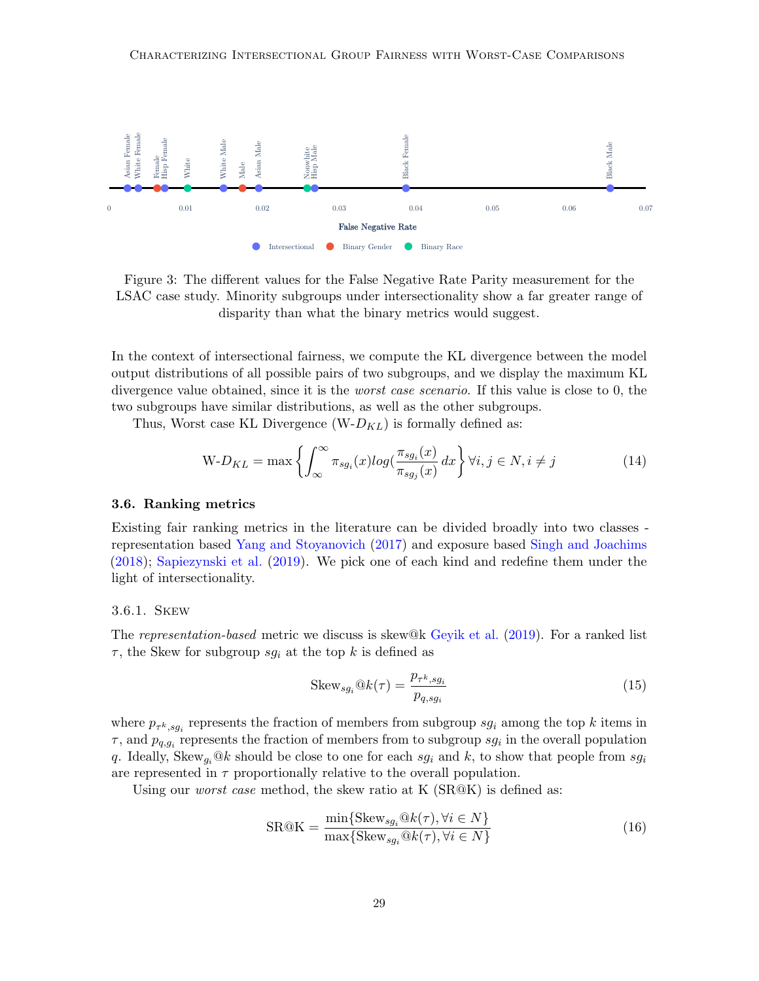

Figure 3: The different values for the False Negative Rate Parity measurement for the LSAC case study. Minority subgroups under intersectionality show a far greater range of disparity than what the binary metrics would suggest.

In the context of intersectional fairness, we compute the KL divergence between the model output distributions of all possible pairs of two subgroups, and we display the maximum KL divergence value obtained, since it is the *worst case scenario*. If this value is close to 0, the two subgroups have similar distributions, as well as the other subgroups.

Thus, Worst case KL Divergence  $(W-D_{KL})$  is formally defined as:

$$
W - D_{KL} = \max \left\{ \int_{\infty}^{\infty} \pi_{sg_i}(x) \log(\frac{\pi_{sg_i}(x)}{\pi_{sg_j}(x)} dx \right\} \forall i, j \in N, i \neq j \tag{14}
$$

## 3.6. Ranking metrics

Existing fair ranking metrics in the literature can be divided broadly into two classes representation based [Yang and Stoyanovich](#page-12-7) [\(2017\)](#page-12-7) and exposure based [Singh and Joachims](#page-12-8) [\(2018\)](#page-12-8); [Sapiezynski et al.](#page-12-9) [\(2019\)](#page-12-9). We pick one of each kind and redefine them under the light of intersectionality.

#### 3.6.1. Skew

The representation-based metric we discuss is skew $@k$  [Geyik et al.](#page-11-12) [\(2019\)](#page-11-12). For a ranked list  $\tau$ , the Skew for subgroup  $sg_i$  at the top k is defined as

$$
Skew_{sg_i} @k(\tau) = \frac{p_{\tau^k, sg_i}}{p_{q, sg_i}} \tag{15}
$$

where  $p_{\tau^k,sg_i}$  represents the fraction of members from subgroup  $sg_i$  among the top k items in  $\tau$ , and  $p_{q,g_i}$  represents the fraction of members from to subgroup  $sg_i$  in the overall population q. Ideally, Skew<sub>gi</sub>@k should be close to one for each sg<sub>i</sub> and k, to show that people from sg<sub>i</sub> are represented in  $\tau$  proportionally relative to the overall population.

Using our *worst case* method, the skew ratio at K (SR@K) is defined as:

$$
SR@K = \frac{\min\{Skew_{sg_i}@k(\tau), \forall i \in N\}}{\max\{Skew_{sg_i}@k(\tau), \forall i \in N\}} \tag{16}
$$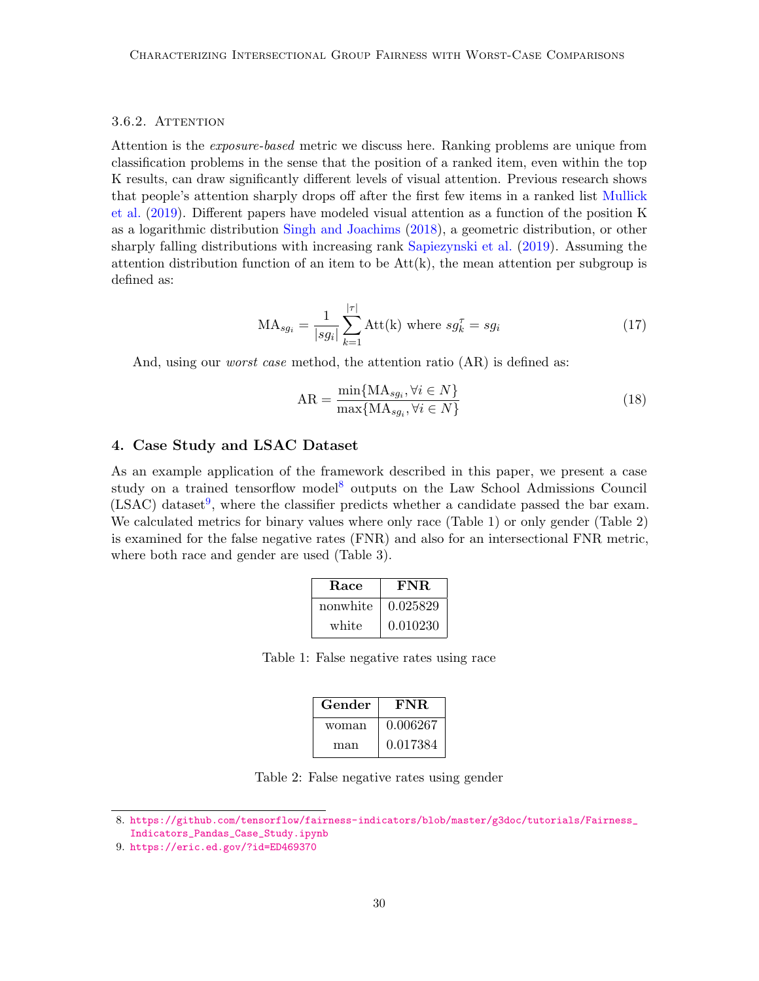## 3.6.2. ATTENTION

Attention is the *exposure-based* metric we discuss here. Ranking problems are unique from classification problems in the sense that the position of a ranked item, even within the top K results, can draw significantly different levels of visual attention. Previous research shows that people's attention sharply drops off after the first few items in a ranked list [Mullick](#page-12-10) [et al.](#page-12-10) [\(2019\)](#page-12-10). Different papers have modeled visual attention as a function of the position K as a logarithmic distribution [Singh and Joachims](#page-12-8) [\(2018\)](#page-12-8), a geometric distribution, or other sharply falling distributions with increasing rank [Sapiezynski et al.](#page-12-9) [\(2019\)](#page-12-9). Assuming the attention distribution function of an item to be  $Att(k)$ , the mean attention per subgroup is defined as:

$$
MA_{sg_i} = \frac{1}{|sg_i|} \sum_{k=1}^{|\tau|} \text{Att(k) where } sg_k^{\tau} = sg_i \tag{17}
$$

And, using our *worst case* method, the attention ratio  $(AR)$  is defined as:

$$
AR = \frac{\min\{MA_{sg_i}, \forall i \in N\}}{\max\{MA_{sg_i}, \forall i \in N\}}\tag{18}
$$

## 4. Case Study and LSAC Dataset

As an example application of the framework described in this paper, we present a case study on a trained tensorflow model<sup>[8](#page-8-0)</sup> outputs on the Law School Admissions Council  $(LSAC)$  dataset<sup>[9](#page-8-1)</sup>, where the classifier predicts whether a candidate passed the bar exam. We calculated metrics for binary values where only race (Table 1) or only gender (Table 2) is examined for the false negative rates (FNR) and also for an intersectional FNR metric, where both race and gender are used (Table 3).

| <b>Race</b> | FNR.     |
|-------------|----------|
| nonwhite    | 0.025829 |
| white       | 0.010230 |

Table 1: False negative rates using race

| Gender | FNR.     |
|--------|----------|
| woman  | 0.006267 |
| man    | 0.017384 |

Table 2: False negative rates using gender

<span id="page-8-0"></span><sup>8.</sup> [https://github.com/tensorflow/fairness-indicators/blob/master/g3doc/tutorials/Fairness\\_](https://github.com/tensorflow/fairness-indicators/blob/master/g3doc/tutorials/Fairness_Indicators_Pandas_Case_Study.ipynb) [Indicators\\_Pandas\\_Case\\_Study.ipynb](https://github.com/tensorflow/fairness-indicators/blob/master/g3doc/tutorials/Fairness_Indicators_Pandas_Case_Study.ipynb)

<span id="page-8-1"></span><sup>9.</sup> <https://eric.ed.gov/?id=ED469370>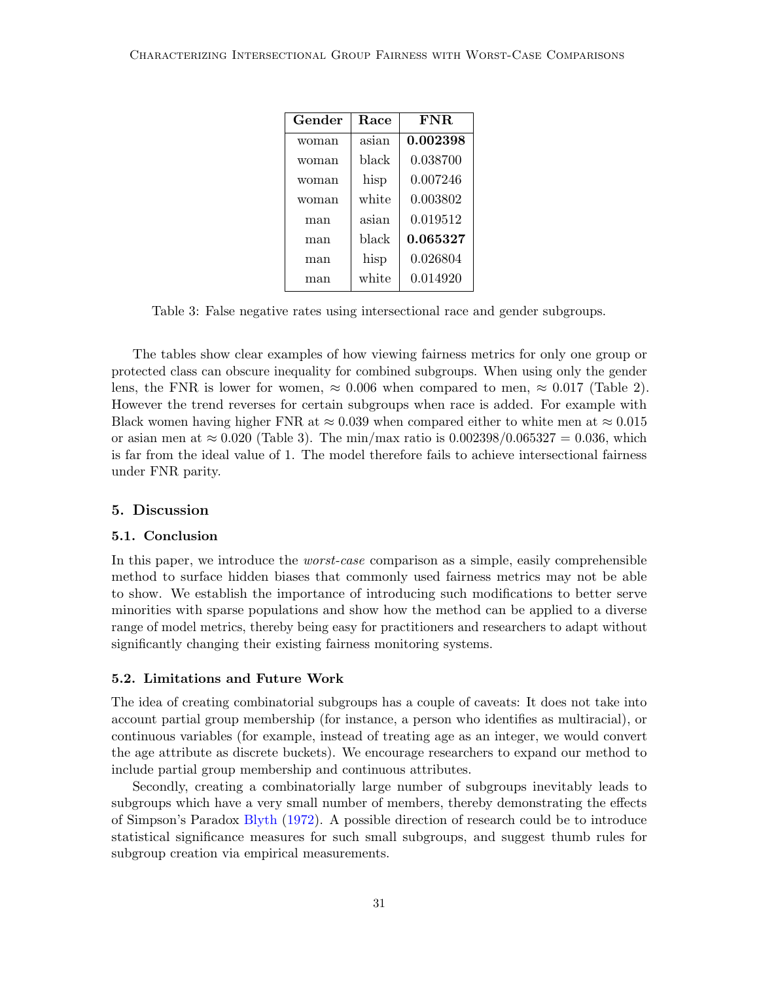| Gender | Race  | FNR.     |
|--------|-------|----------|
| woman  | asian | 0.002398 |
| woman  | black | 0.038700 |
| woman  | hisp  | 0.007246 |
| woman  | white | 0.003802 |
| man    | asian | 0.019512 |
| man    | hlack | 0.065327 |
| man    | hisp  | 0.026804 |
| man    | white | 0.014920 |

Table 3: False negative rates using intersectional race and gender subgroups.

The tables show clear examples of how viewing fairness metrics for only one group or protected class can obscure inequality for combined subgroups. When using only the gender lens, the FNR is lower for women,  $\approx 0.006$  when compared to men,  $\approx 0.017$  (Table 2). However the trend reverses for certain subgroups when race is added. For example with Black women having higher FNR at  $\approx 0.039$  when compared either to white men at  $\approx 0.015$ or asian men at  $\approx 0.020$  (Table 3). The min/max ratio is  $0.002398/0.065327 = 0.036$ , which is far from the ideal value of 1. The model therefore fails to achieve intersectional fairness under FNR parity.

## 5. Discussion

## 5.1. Conclusion

In this paper, we introduce the *worst-case* comparison as a simple, easily comprehensible method to surface hidden biases that commonly used fairness metrics may not be able to show. We establish the importance of introducing such modifications to better serve minorities with sparse populations and show how the method can be applied to a diverse range of model metrics, thereby being easy for practitioners and researchers to adapt without significantly changing their existing fairness monitoring systems.

## 5.2. Limitations and Future Work

The idea of creating combinatorial subgroups has a couple of caveats: It does not take into account partial group membership (for instance, a person who identifies as multiracial), or continuous variables (for example, instead of treating age as an integer, we would convert the age attribute as discrete buckets). We encourage researchers to expand our method to include partial group membership and continuous attributes.

Secondly, creating a combinatorially large number of subgroups inevitably leads to subgroups which have a very small number of members, thereby demonstrating the effects of Simpson's Paradox [Blyth](#page-10-11) [\(1972\)](#page-10-11). A possible direction of research could be to introduce statistical significance measures for such small subgroups, and suggest thumb rules for subgroup creation via empirical measurements.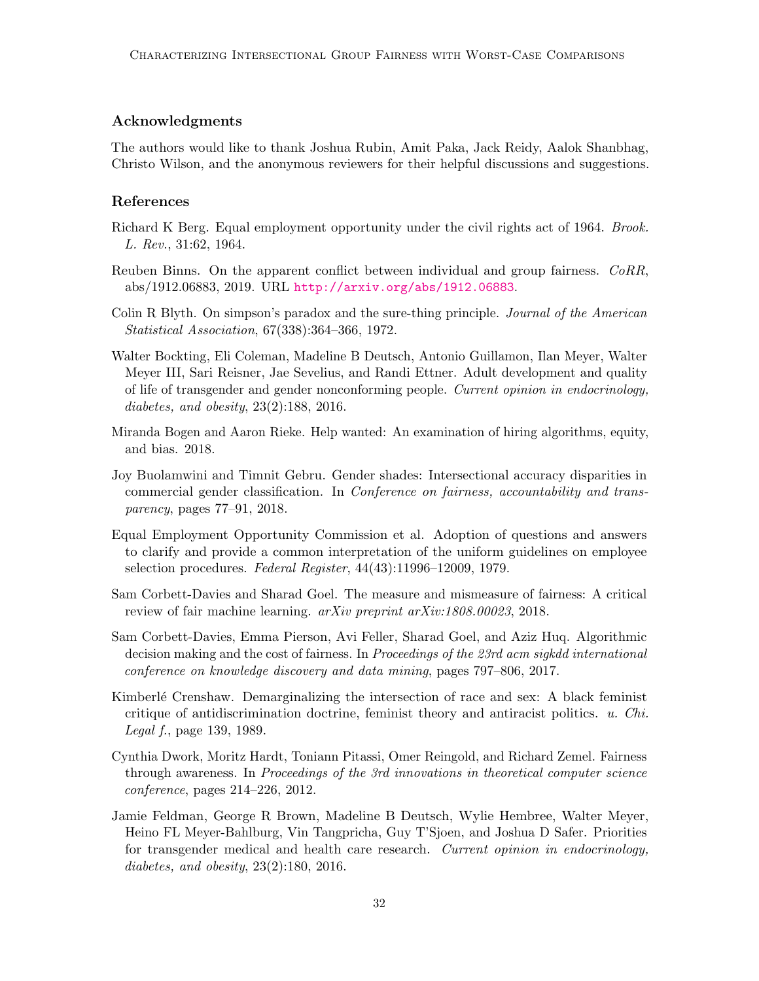# Acknowledgments

The authors would like to thank Joshua Rubin, Amit Paka, Jack Reidy, Aalok Shanbhag, Christo Wilson, and the anonymous reviewers for their helpful discussions and suggestions.

## References

- <span id="page-10-2"></span>Richard K Berg. Equal employment opportunity under the civil rights act of 1964. *Brook.* L. Rev., 31:62, 1964.
- <span id="page-10-7"></span>Reuben Binns. On the apparent conflict between individual and group fairness. CoRR, abs/1912.06883, 2019. URL <http://arxiv.org/abs/1912.06883>.
- <span id="page-10-11"></span>Colin R Blyth. On simpson's paradox and the sure-thing principle. Journal of the American Statistical Association, 67(338):364–366, 1972.
- <span id="page-10-6"></span>Walter Bockting, Eli Coleman, Madeline B Deutsch, Antonio Guillamon, Ilan Meyer, Walter Meyer III, Sari Reisner, Jae Sevelius, and Randi Ettner. Adult development and quality of life of transgender and gender nonconforming people. Current opinion in endocrinology, diabetes, and obesity, 23(2):188, 2016.
- <span id="page-10-0"></span>Miranda Bogen and Aaron Rieke. Help wanted: An examination of hiring algorithms, equity, and bias. 2018.
- <span id="page-10-4"></span>Joy Buolamwini and Timnit Gebru. Gender shades: Intersectional accuracy disparities in commercial gender classification. In Conference on fairness, accountability and transparency, pages 77–91, 2018.
- <span id="page-10-9"></span>Equal Employment Opportunity Commission et al. Adoption of questions and answers to clarify and provide a common interpretation of the uniform guidelines on employee selection procedures. Federal Register, 44(43):11996–12009, 1979.
- <span id="page-10-1"></span>Sam Corbett-Davies and Sharad Goel. The measure and mismeasure of fairness: A critical review of fair machine learning. arXiv preprint arXiv:1808.00023, 2018.
- <span id="page-10-10"></span>Sam Corbett-Davies, Emma Pierson, Avi Feller, Sharad Goel, and Aziz Huq. Algorithmic decision making and the cost of fairness. In *Proceedings of the 23rd acm sigkdd international* conference on knowledge discovery and data mining, pages 797–806, 2017.
- <span id="page-10-3"></span>Kimberlé Crenshaw. Demarginalizing the intersection of race and sex: A black feminist critique of antidiscrimination doctrine, feminist theory and antiracist politics. u. Chi. Legal f., page 139, 1989.
- <span id="page-10-8"></span>Cynthia Dwork, Moritz Hardt, Toniann Pitassi, Omer Reingold, and Richard Zemel. Fairness through awareness. In Proceedings of the 3rd innovations in theoretical computer science conference, pages 214–226, 2012.
- <span id="page-10-5"></span>Jamie Feldman, George R Brown, Madeline B Deutsch, Wylie Hembree, Walter Meyer, Heino FL Meyer-Bahlburg, Vin Tangpricha, Guy T'Sjoen, and Joshua D Safer. Priorities for transgender medical and health care research. Current opinion in endocrinology, diabetes, and obesity, 23(2):180, 2016.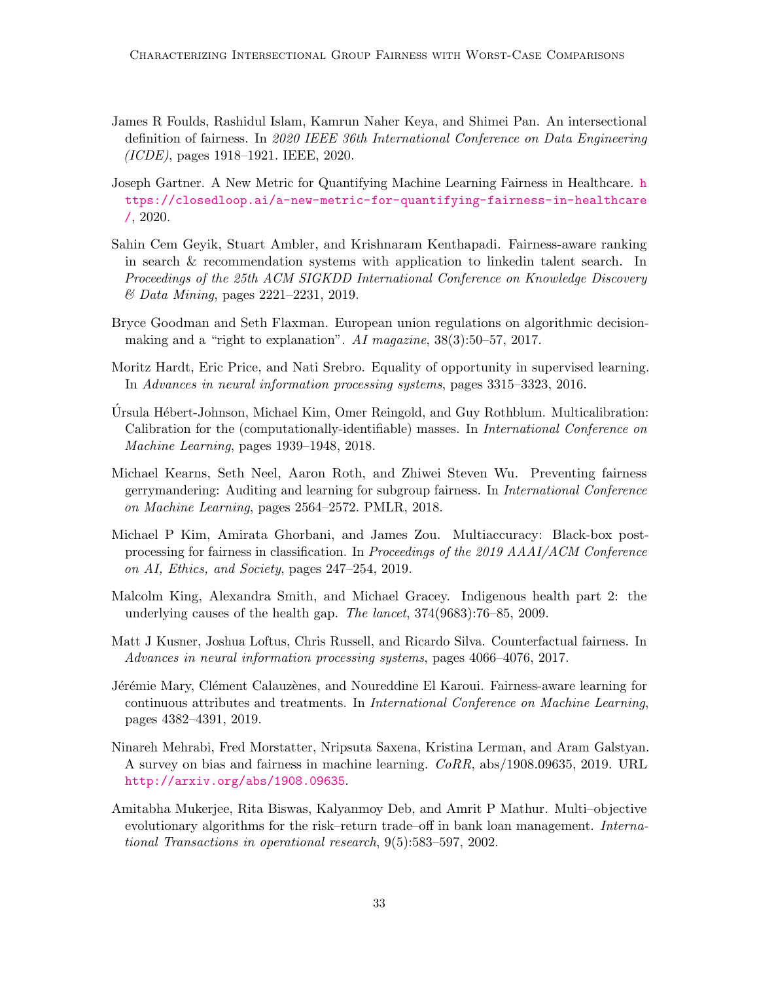- <span id="page-11-9"></span>James R Foulds, Rashidul Islam, Kamrun Naher Keya, and Shimei Pan. An intersectional definition of fairness. In 2020 IEEE 36th International Conference on Data Engineering (ICDE), pages 1918–1921. IEEE, 2020.
- <span id="page-11-10"></span>Joseph Gartner. A New Metric for Quantifying Machine Learning Fairness in Healthcare. [h](https://closedloop.ai/a-new-metric-for-quantifying-fairness-in-healthcare/) [ttps://closedloop.ai/a-new-metric-for-quantifying-fairness-in-healthcare](https://closedloop.ai/a-new-metric-for-quantifying-fairness-in-healthcare/) [/](https://closedloop.ai/a-new-metric-for-quantifying-fairness-in-healthcare/), 2020.
- <span id="page-11-12"></span>Sahin Cem Geyik, Stuart Ambler, and Krishnaram Kenthapadi. Fairness-aware ranking in search & recommendation systems with application to linkedin talent search. In Proceedings of the 25th ACM SIGKDD International Conference on Knowledge Discovery & Data Mining, pages 2221–2231, 2019.
- <span id="page-11-1"></span>Bryce Goodman and Seth Flaxman. European union regulations on algorithmic decisionmaking and a "right to explanation". AI magazine, 38(3):50–57, 2017.
- <span id="page-11-5"></span>Moritz Hardt, Eric Price, and Nati Srebro. Equality of opportunity in supervised learning. In Advances in neural information processing systems, pages 3315–3323, 2016.
- <span id="page-11-6"></span>Ursula Hébert-Johnson, Michael Kim, Omer Reingold, and Guy Rothblum. Multicalibration: Calibration for the (computationally-identifiable) masses. In International Conference on Machine Learning, pages 1939–1948, 2018.
- <span id="page-11-3"></span>Michael Kearns, Seth Neel, Aaron Roth, and Zhiwei Steven Wu. Preventing fairness gerrymandering: Auditing and learning for subgroup fairness. In International Conference on Machine Learning, pages 2564–2572. PMLR, 2018.
- <span id="page-11-7"></span>Michael P Kim, Amirata Ghorbani, and James Zou. Multiaccuracy: Black-box postprocessing for fairness in classification. In Proceedings of the 2019 AAAI/ACM Conference on AI, Ethics, and Society, pages 247–254, 2019.
- <span id="page-11-4"></span>Malcolm King, Alexandra Smith, and Michael Gracey. Indigenous health part 2: the underlying causes of the health gap. The lancet, 374(9683):76–85, 2009.
- <span id="page-11-11"></span>Matt J Kusner, Joshua Loftus, Chris Russell, and Ricardo Silva. Counterfactual fairness. In Advances in neural information processing systems, pages 4066–4076, 2017.
- <span id="page-11-8"></span>Jérémie Mary, Clément Calauzènes, and Noureddine El Karoui. Fairness-aware learning for continuous attributes and treatments. In International Conference on Machine Learning, pages 4382–4391, 2019.
- <span id="page-11-2"></span>Ninareh Mehrabi, Fred Morstatter, Nripsuta Saxena, Kristina Lerman, and Aram Galstyan. A survey on bias and fairness in machine learning. CoRR, abs/1908.09635, 2019. URL <http://arxiv.org/abs/1908.09635>.
- <span id="page-11-0"></span>Amitabha Mukerjee, Rita Biswas, Kalyanmoy Deb, and Amrit P Mathur. Multi–objective evolutionary algorithms for the risk–return trade–off in bank loan management. International Transactions in operational research, 9(5):583–597, 2002.